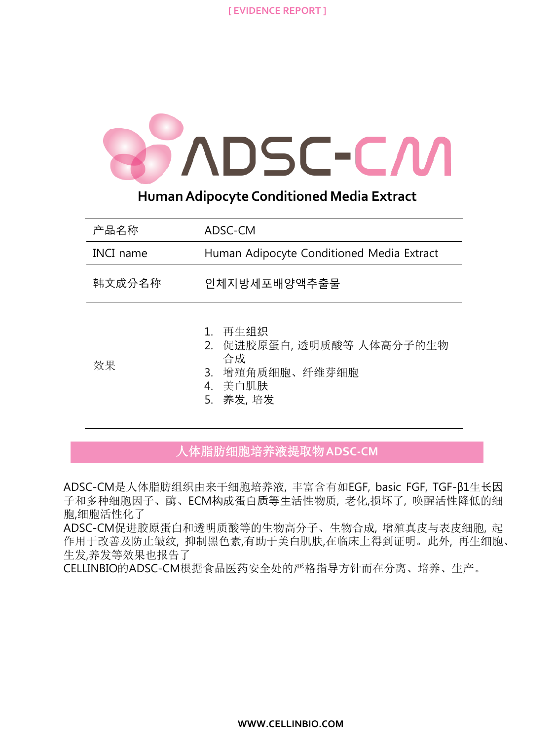**[ EVIDENCE REPORT ]**



**Human Adipocyte Conditioned Media Extract**

| 产品名称             | ADSC-CM                                                                            |
|------------------|------------------------------------------------------------------------------------|
| <b>INCI</b> name | Human Adipocyte Conditioned Media Extract                                          |
| 韩文成分名称           | 인체지방세포배양액추출물                                                                       |
| 效果               | 1.再生组织<br>2. 促进胶原蛋白,透明质酸等 人体高分子的生物<br>合成<br>3. 增殖角质细胞、纤维芽细胞<br>4.美自肌肤<br>5. 养发, 培发 |

人体脂肪细胞培养液提取物**ADSC-CM**

ADSC-CM是人体脂肪组织由来干细胞培养液, 丰富含有如EGF, basic FGF, TGF-β1生长因 子和多种细胞因子、酶、ECM构成蛋白质等生活性物质, 老化,损坏了, 唤醒活性降低的细 胞,细胞活性化了

ADSC-CM促进胶原蛋白和透明质酸等的生物高分子、生物合成, 增殖真皮与表皮细胞, 起 作用于改善及防止皱纹, 抑制黑色素,有助于美白肌肤,在临床上得到证明。此外, 再生细胞、 生发,养发等效果也报告了

CELLINBIO的ADSC-CM根据食品医药安全处的严格指导方针而在分离、培养、生产。